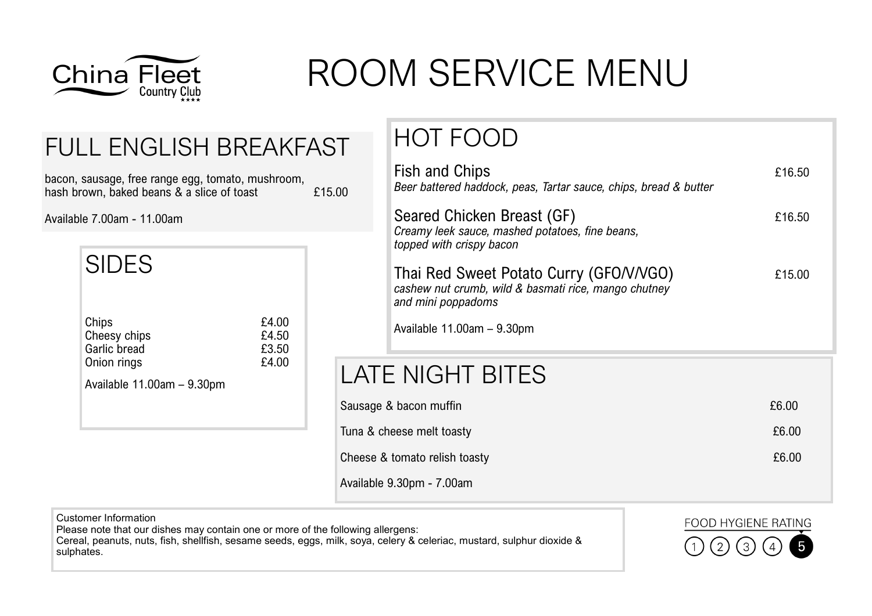

# ROOM SERVICE MENU

### FULL ENGLISH BREAKFAST

bacon, sausage, free range egg, tomato, mushroom, hash brown, baked beans & a slice of toast E15.00

Available 7.00am - 11.00am

|                                                                                      |                         | topped with crispy bacon                                                     |
|--------------------------------------------------------------------------------------|-------------------------|------------------------------------------------------------------------------|
| <b>SIDES</b>                                                                         | £4.00                   | Thai Red Sweet Potato<br>cashew nut crumb, wild & basi<br>and mini poppadoms |
| Chips<br>Cheesy chips<br>Garlic bread<br>Onion rings<br>Available $11.00am - 9.30pm$ | £4.50<br>£3.50<br>£4.00 | Available $11.00am - 9.30pm$                                                 |
|                                                                                      |                         | LATE NIGHT BITES                                                             |
|                                                                                      |                         | Sausage & bacon muffin                                                       |
|                                                                                      |                         | Tuna & cheese melt toasty                                                    |
|                                                                                      |                         | Cheese & tomato relish toasty                                                |

### HOT FOOD

| $\overline{0}$                | <b>Fish and Chips</b><br>Beer battered haddock, peas, Tartar sauce, chips, bread & butter                             | £16.50 |
|-------------------------------|-----------------------------------------------------------------------------------------------------------------------|--------|
|                               | Seared Chicken Breast (GF)<br>Creamy leek sauce, mashed potatoes, fine beans,<br>topped with crispy bacon             | £16.50 |
|                               | Thai Red Sweet Potato Curry (GFO/V/VGO)<br>cashew nut crumb, wild & basmati rice, mango chutney<br>and mini poppadoms | £15.00 |
|                               | Available $11.00am - 9.30pm$                                                                                          |        |
|                               | LATE NIGHT BITES                                                                                                      |        |
|                               | Sausage & bacon muffin                                                                                                | £6.00  |
|                               | Tuna & cheese melt toasty                                                                                             | £6.00  |
| Cheese & tomato relish toasty |                                                                                                                       | £6.00  |

Available 9.30pm - 7.00am

Customer Information Please note that our dishes may contain one or more of the following allergens: Cereal, peanuts, nuts, fish, shellfish, sesame seeds, eggs, milk, soya, celery & celeriac, mustard, sulphur dioxide & sulphates.